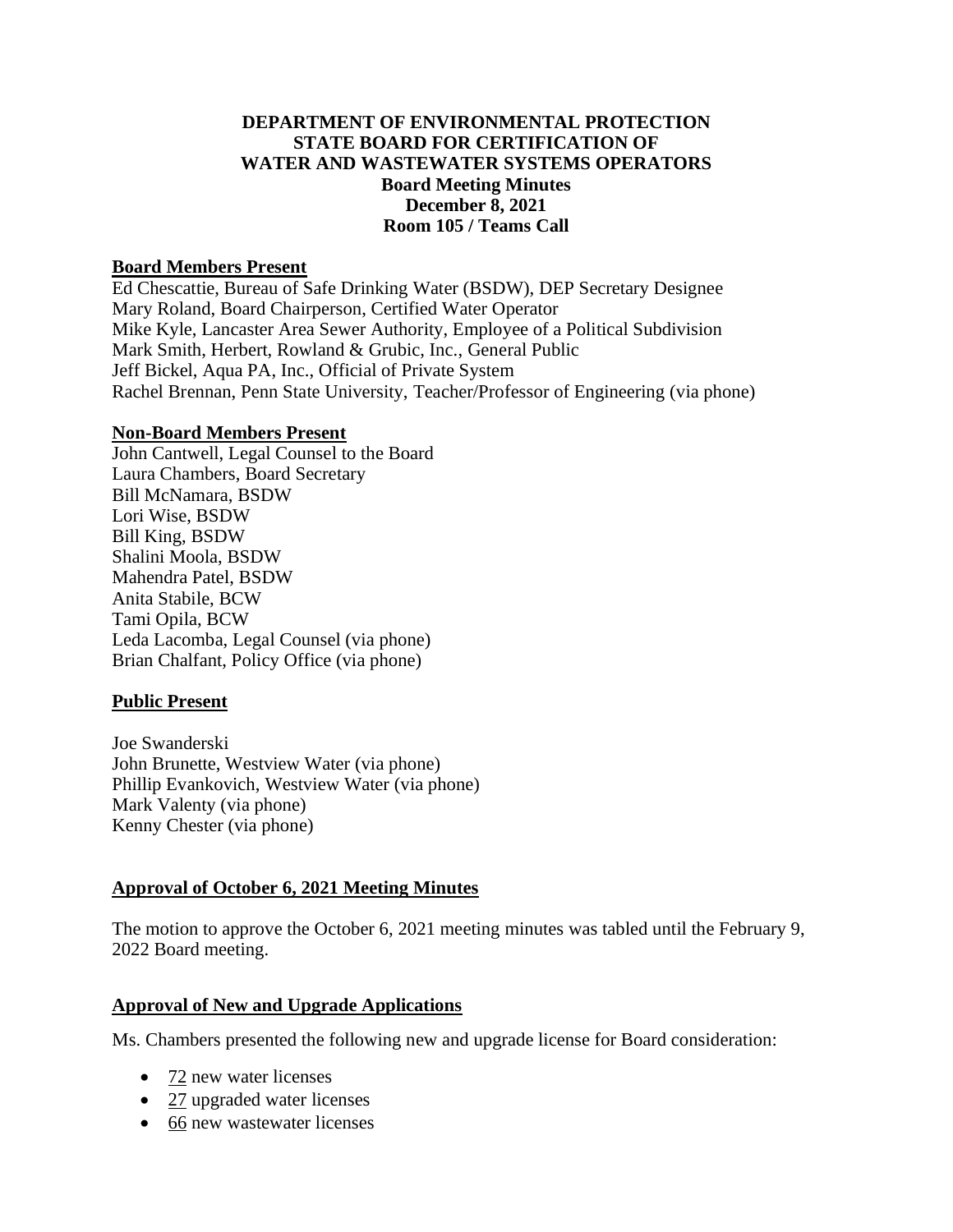## **DEPARTMENT OF ENVIRONMENTAL PROTECTION STATE BOARD FOR CERTIFICATION OF WATER AND WASTEWATER SYSTEMS OPERATORS Board Meeting Minutes December 8, 2021 Room 105 / Teams Call**

#### **Board Members Present**

Ed Chescattie, Bureau of Safe Drinking Water (BSDW), DEP Secretary Designee Mary Roland, Board Chairperson, Certified Water Operator Mike Kyle, Lancaster Area Sewer Authority, Employee of a Political Subdivision Mark Smith, Herbert, Rowland & Grubic, Inc., General Public Jeff Bickel, Aqua PA, Inc., Official of Private System Rachel Brennan, Penn State University, Teacher/Professor of Engineering (via phone)

#### **Non-Board Members Present**

John Cantwell, Legal Counsel to the Board Laura Chambers, Board Secretary Bill McNamara, BSDW Lori Wise, BSDW Bill King, BSDW Shalini Moola, BSDW Mahendra Patel, BSDW Anita Stabile, BCW Tami Opila, BCW Leda Lacomba, Legal Counsel (via phone) Brian Chalfant, Policy Office (via phone)

### **Public Present**

Joe Swanderski John Brunette, Westview Water (via phone) Phillip Evankovich, Westview Water (via phone) Mark Valenty (via phone) Kenny Chester (via phone)

### **Approval of October 6, 2021 Meeting Minutes**

The motion to approve the October 6, 2021 meeting minutes was tabled until the February 9, 2022 Board meeting.

### **Approval of New and Upgrade Applications**

Ms. Chambers presented the following new and upgrade license for Board consideration:

- 72 new water licenses
- 27 upgraded water licenses
- 66 new wastewater licenses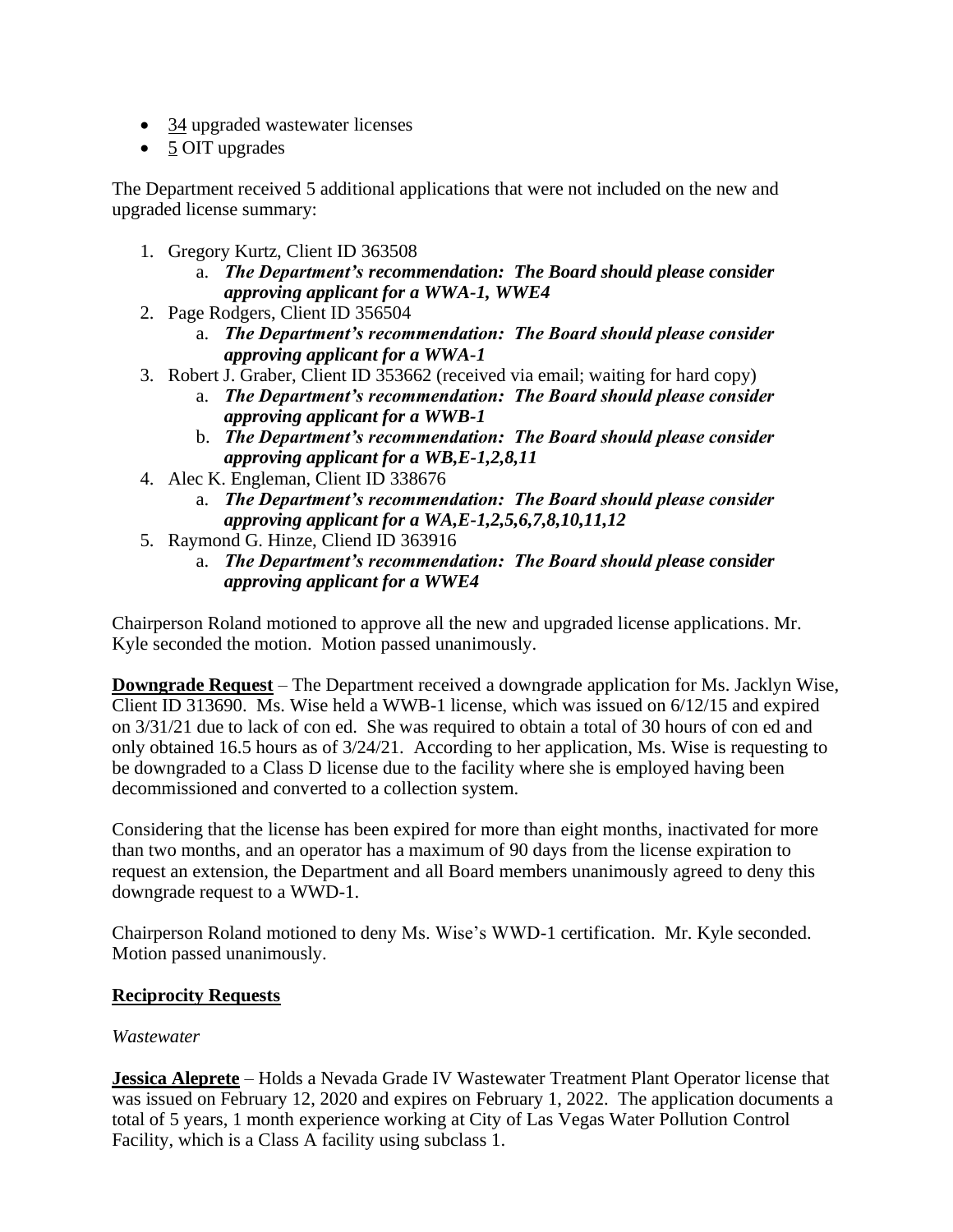- 34 upgraded wastewater licenses
- 5 OIT upgrades

The Department received 5 additional applications that were not included on the new and upgraded license summary:

- 1. Gregory Kurtz, Client ID 363508
	- a. *The Department's recommendation: The Board should please consider approving applicant for a WWA-1, WWE4*
- 2. Page Rodgers, Client ID 356504
	- a. *The Department's recommendation: The Board should please consider approving applicant for a WWA-1*
- 3. Robert J. Graber, Client ID 353662 (received via email; waiting for hard copy)
	- a. *The Department's recommendation: The Board should please consider approving applicant for a WWB-1*
	- b. *The Department's recommendation: The Board should please consider approving applicant for a WB,E-1,2,8,11*
- 4. Alec K. Engleman, Client ID 338676
	- a. *The Department's recommendation: The Board should please consider approving applicant for a WA,E-1,2,5,6,7,8,10,11,12*
- 5. Raymond G. Hinze, Cliend ID 363916
	- a. *The Department's recommendation: The Board should please consider approving applicant for a WWE4*

Chairperson Roland motioned to approve all the new and upgraded license applications. Mr. Kyle seconded the motion. Motion passed unanimously.

**Downgrade Request** – The Department received a downgrade application for Ms. Jacklyn Wise, Client ID 313690. Ms. Wise held a WWB-1 license, which was issued on 6/12/15 and expired on 3/31/21 due to lack of con ed. She was required to obtain a total of 30 hours of con ed and only obtained 16.5 hours as of 3/24/21. According to her application, Ms. Wise is requesting to be downgraded to a Class D license due to the facility where she is employed having been decommissioned and converted to a collection system.

Considering that the license has been expired for more than eight months, inactivated for more than two months, and an operator has a maximum of 90 days from the license expiration to request an extension, the Department and all Board members unanimously agreed to deny this downgrade request to a WWD-1.

Chairperson Roland motioned to deny Ms. Wise's WWD-1 certification. Mr. Kyle seconded. Motion passed unanimously.

# **Reciprocity Requests**

# *Wastewater*

**Jessica Aleprete** – Holds a Nevada Grade IV Wastewater Treatment Plant Operator license that was issued on February 12, 2020 and expires on February 1, 2022. The application documents a total of 5 years, 1 month experience working at City of Las Vegas Water Pollution Control Facility, which is a Class A facility using subclass 1.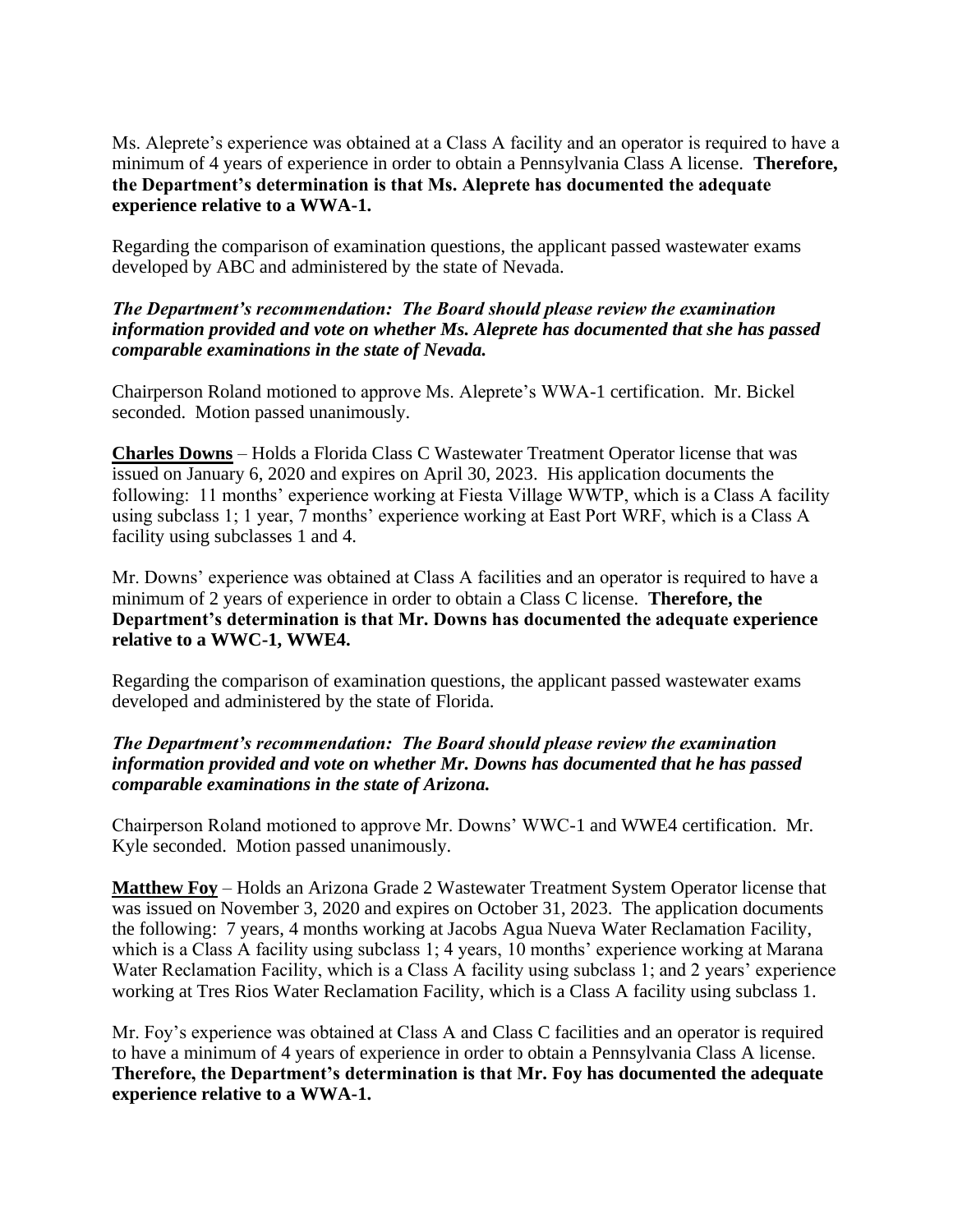Ms. Aleprete's experience was obtained at a Class A facility and an operator is required to have a minimum of 4 years of experience in order to obtain a Pennsylvania Class A license. **Therefore, the Department's determination is that Ms. Aleprete has documented the adequate experience relative to a WWA-1.** 

Regarding the comparison of examination questions, the applicant passed wastewater exams developed by ABC and administered by the state of Nevada.

### *The Department's recommendation: The Board should please review the examination information provided and vote on whether Ms. Aleprete has documented that she has passed comparable examinations in the state of Nevada.*

Chairperson Roland motioned to approve Ms. Aleprete's WWA-1 certification. Mr. Bickel seconded. Motion passed unanimously.

**Charles Downs** – Holds a Florida Class C Wastewater Treatment Operator license that was issued on January 6, 2020 and expires on April 30, 2023. His application documents the following: 11 months' experience working at Fiesta Village WWTP, which is a Class A facility using subclass 1; 1 year, 7 months' experience working at East Port WRF, which is a Class A facility using subclasses 1 and 4.

Mr. Downs' experience was obtained at Class A facilities and an operator is required to have a minimum of 2 years of experience in order to obtain a Class C license. **Therefore, the Department's determination is that Mr. Downs has documented the adequate experience relative to a WWC-1, WWE4.**

Regarding the comparison of examination questions, the applicant passed wastewater exams developed and administered by the state of Florida.

## *The Department's recommendation: The Board should please review the examination information provided and vote on whether Mr. Downs has documented that he has passed comparable examinations in the state of Arizona.*

Chairperson Roland motioned to approve Mr. Downs' WWC-1 and WWE4 certification. Mr. Kyle seconded. Motion passed unanimously.

**Matthew Foy** – Holds an Arizona Grade 2 Wastewater Treatment System Operator license that was issued on November 3, 2020 and expires on October 31, 2023. The application documents the following: 7 years, 4 months working at Jacobs Agua Nueva Water Reclamation Facility, which is a Class A facility using subclass 1; 4 years, 10 months' experience working at Marana Water Reclamation Facility, which is a Class A facility using subclass 1; and 2 years' experience working at Tres Rios Water Reclamation Facility, which is a Class A facility using subclass 1.

Mr. Foy's experience was obtained at Class A and Class C facilities and an operator is required to have a minimum of 4 years of experience in order to obtain a Pennsylvania Class A license. **Therefore, the Department's determination is that Mr. Foy has documented the adequate experience relative to a WWA-1.**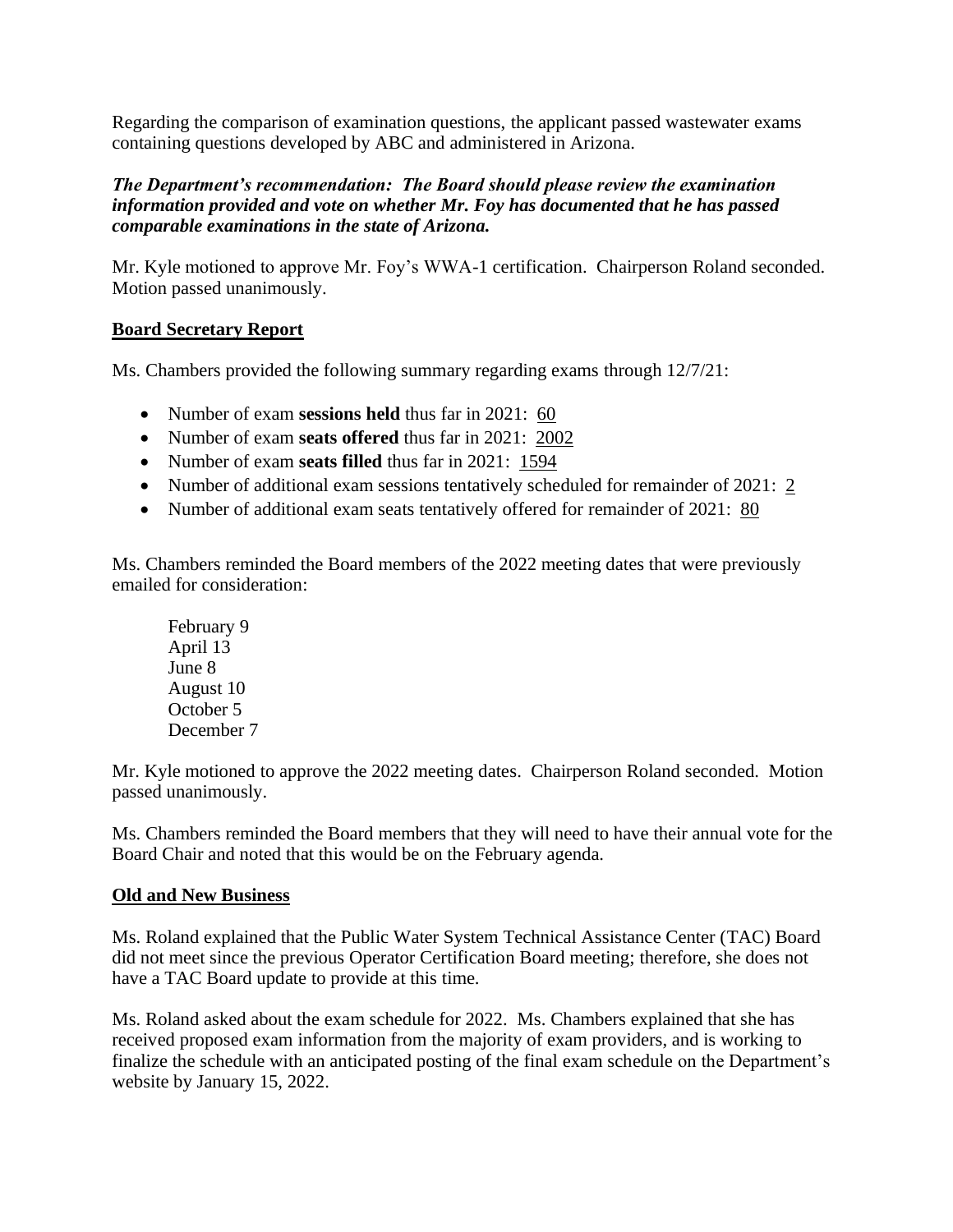Regarding the comparison of examination questions, the applicant passed wastewater exams containing questions developed by ABC and administered in Arizona.

## *The Department's recommendation: The Board should please review the examination information provided and vote on whether Mr. Foy has documented that he has passed comparable examinations in the state of Arizona.*

Mr. Kyle motioned to approve Mr. Foy's WWA-1 certification. Chairperson Roland seconded. Motion passed unanimously.

# **Board Secretary Report**

Ms. Chambers provided the following summary regarding exams through 12/7/21:

- Number of exam **sessions held** thus far in 2021: 60
- Number of exam **seats offered** thus far in 2021: 2002
- Number of exam **seats filled** thus far in 2021: 1594
- Number of additional exam sessions tentatively scheduled for remainder of 2021: 2
- Number of additional exam seats tentatively offered for remainder of 2021: 80

Ms. Chambers reminded the Board members of the 2022 meeting dates that were previously emailed for consideration:

February 9 April 13 June 8 August 10 October 5 December 7

Mr. Kyle motioned to approve the 2022 meeting dates. Chairperson Roland seconded. Motion passed unanimously.

Ms. Chambers reminded the Board members that they will need to have their annual vote for the Board Chair and noted that this would be on the February agenda.

# **Old and New Business**

Ms. Roland explained that the Public Water System Technical Assistance Center (TAC) Board did not meet since the previous Operator Certification Board meeting; therefore, she does not have a TAC Board update to provide at this time.

Ms. Roland asked about the exam schedule for 2022. Ms. Chambers explained that she has received proposed exam information from the majority of exam providers, and is working to finalize the schedule with an anticipated posting of the final exam schedule on the Department's website by January 15, 2022.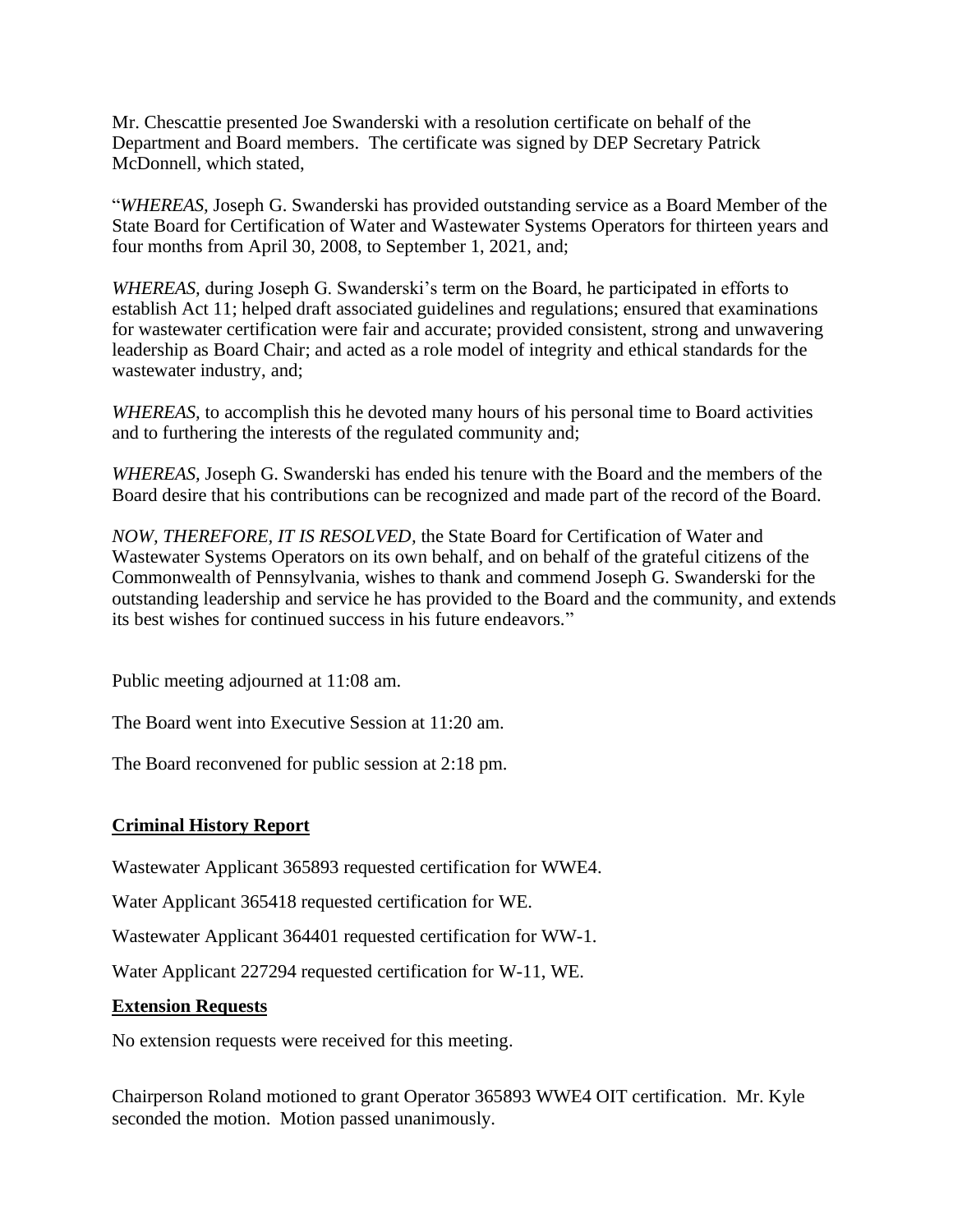Mr. Chescattie presented Joe Swanderski with a resolution certificate on behalf of the Department and Board members. The certificate was signed by DEP Secretary Patrick McDonnell, which stated,

"*WHEREAS,* Joseph G. Swanderski has provided outstanding service as a Board Member of the State Board for Certification of Water and Wastewater Systems Operators for thirteen years and four months from April 30, 2008, to September 1, 2021, and;

*WHEREAS,* during Joseph G. Swanderski's term on the Board, he participated in efforts to establish Act 11; helped draft associated guidelines and regulations; ensured that examinations for wastewater certification were fair and accurate; provided consistent, strong and unwavering leadership as Board Chair; and acted as a role model of integrity and ethical standards for the wastewater industry, and;

*WHEREAS,* to accomplish this he devoted many hours of his personal time to Board activities and to furthering the interests of the regulated community and;

*WHEREAS,* Joseph G. Swanderski has ended his tenure with the Board and the members of the Board desire that his contributions can be recognized and made part of the record of the Board.

*NOW, THEREFORE, IT IS RESOLVED,* the State Board for Certification of Water and Wastewater Systems Operators on its own behalf, and on behalf of the grateful citizens of the Commonwealth of Pennsylvania, wishes to thank and commend Joseph G. Swanderski for the outstanding leadership and service he has provided to the Board and the community, and extends its best wishes for continued success in his future endeavors."

Public meeting adjourned at 11:08 am.

The Board went into Executive Session at 11:20 am.

The Board reconvened for public session at 2:18 pm.

# **Criminal History Report**

Wastewater Applicant 365893 requested certification for WWE4.

Water Applicant 365418 requested certification for WE.

Wastewater Applicant 364401 requested certification for WW-1.

Water Applicant 227294 requested certification for W-11, WE.

### **Extension Requests**

No extension requests were received for this meeting.

Chairperson Roland motioned to grant Operator 365893 WWE4 OIT certification. Mr. Kyle seconded the motion. Motion passed unanimously.